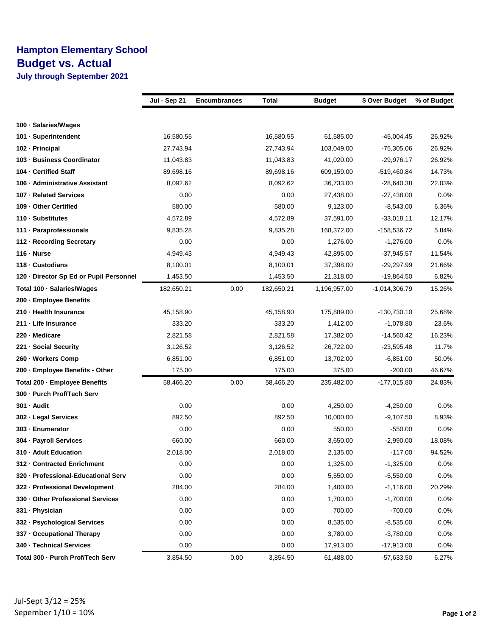## **Hampton Elementary School Budget vs. Actual**

**July through September 2021**

|                                         | Jul - Sep 21 | <b>Encumbrances</b> | <b>Total</b> | <b>Budget</b> | \$ Over Budget  | % of Budget |
|-----------------------------------------|--------------|---------------------|--------------|---------------|-----------------|-------------|
|                                         |              |                     |              |               |                 |             |
| 100 · Salaries/Wages                    |              |                     |              |               |                 |             |
| 101 · Superintendent                    | 16,580.55    |                     | 16,580.55    | 61,585.00     | -45,004.45      | 26.92%      |
| 102 - Principal                         | 27,743.94    |                     | 27,743.94    | 103,049.00    | -75,305.06      | 26.92%      |
| 103 - Business Coordinator              | 11,043.83    |                     | 11,043.83    | 41,020.00     | -29,976.17      | 26.92%      |
| 104 - Certified Staff                   | 89,698.16    |                     | 89,698.16    | 609,159.00    | -519,460.84     | 14.73%      |
| 106 - Administrative Assistant          | 8,092.62     |                     | 8,092.62     | 36,733.00     | -28,640.38      | 22.03%      |
| 107 - Related Services                  | 0.00         |                     | 0.00         | 27,438.00     | $-27,438.00$    | $0.0\%$     |
| 109 - Other Certified                   | 580.00       |                     | 580.00       | 9,123.00      | $-8,543.00$     | 6.36%       |
| 110 · Substitutes                       | 4,572.89     |                     | 4,572.89     | 37,591.00     | $-33,018.11$    | 12.17%      |
| 111 · Paraprofessionals                 | 9,835.28     |                     | 9,835.28     | 168,372.00    | -158,536.72     | 5.84%       |
| 112 - Recording Secretary               | 0.00         |                     | 0.00         | 1,276.00      | $-1,276.00$     | $0.0\%$     |
| $116 - Nurse$                           | 4,949.43     |                     | 4,949.43     | 42,895.00     | $-37,945.57$    | 11.54%      |
| 118 - Custodians                        | 8,100.01     |                     | 8,100.01     | 37,398.00     | -29,297.99      | 21.66%      |
| 120 - Director Sp Ed or Pupil Personnel | 1,453.50     |                     | 1,453.50     | 21,318.00     | $-19,864.50$    | 6.82%       |
| Total 100 - Salaries/Wages              | 182,650.21   | 0.00                | 182,650.21   | 1,196,957.00  | $-1,014,306.79$ | 15.26%      |
| 200 - Employee Benefits                 |              |                     |              |               |                 |             |
| 210 - Health Insurance                  | 45,158.90    |                     | 45,158.90    | 175,889.00    | $-130,730.10$   | 25.68%      |
| 211 - Life Insurance                    | 333.20       |                     | 333.20       | 1,412.00      | $-1,078.80$     | 23.6%       |
| 220 - Medicare                          | 2,821.58     |                     | 2,821.58     | 17,382.00     | $-14,560.42$    | 16.23%      |
| 221 · Social Security                   | 3,126.52     |                     | 3,126.52     | 26,722.00     | $-23,595.48$    | 11.7%       |
| 260 - Workers Comp                      | 6,851.00     |                     | 6,851.00     | 13,702.00     | $-6,851.00$     | 50.0%       |
| 200 - Employee Benefits - Other         | 175.00       |                     | 175.00       | 375.00        | -200.00         | 46.67%      |
| Total 200 - Employee Benefits           | 58,466.20    | 0.00                | 58,466.20    | 235,482.00    | $-177,015.80$   | 24.83%      |
| 300 - Purch Prof/Tech Serv              |              |                     |              |               |                 |             |
| 301 - Audit                             | 0.00         |                     | 0.00         | 4,250.00      | $-4,250.00$     | $0.0\%$     |
| 302 - Legal Services                    | 892.50       |                     | 892.50       | 10,000.00     | $-9,107.50$     | 8.93%       |
| 303 - Enumerator                        | 0.00         |                     | 0.00         | 550.00        | -550.00         | $0.0\%$     |
| 304 - Payroll Services                  | 660.00       |                     | 660.00       | 3,650.00      | $-2,990.00$     | 18.08%      |
| 310 - Adult Education                   | 2,018.00     |                     | 2,018.00     | 2,135.00      | $-117.00$       | 94.52%      |
| 312 - Contracted Enrichment             | 0.00         |                     | 0.00         | 1,325.00      | $-1,325.00$     | $0.0\%$     |
| 320 - Professional-Educational Serv     | 0.00         |                     | 0.00         | 5,550.00      | $-5,550.00$     | 0.0%        |
| 322 - Professional Development          | 284.00       |                     | 284.00       | 1,400.00      | $-1,116.00$     | 20.29%      |
| 330 - Other Professional Services       | 0.00         |                     | 0.00         | 1,700.00      | $-1,700.00$     | 0.0%        |
| 331 - Physician                         | 0.00         |                     | 0.00         | 700.00        | $-700.00$       | 0.0%        |
| 332 - Psychological Services            | 0.00         |                     | 0.00         | 8,535.00      | $-8,535.00$     | 0.0%        |
| 337 - Occupational Therapy              | 0.00         |                     | 0.00         | 3,780.00      | $-3,780.00$     | 0.0%        |
| 340 - Technical Services                | 0.00         |                     | 0.00         | 17,913.00     | $-17,913.00$    | 0.0%        |
| Total 300 - Purch Prof/Tech Serv        | 3,854.50     | 0.00                | 3,854.50     | 61,488.00     | -57,633.50      | 6.27%       |